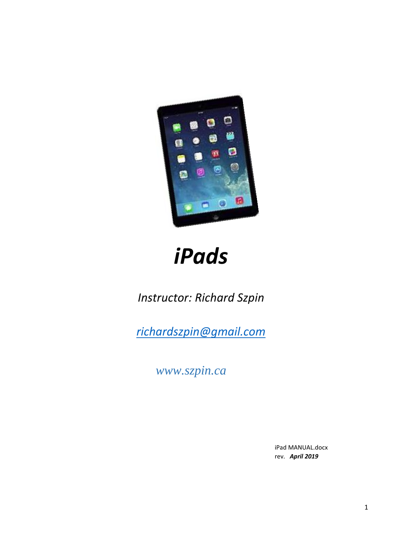

# *iPads*

*Instructor: Richard Szpin*

*[richardszpin@gmail.com](mailto:richardszpin@gmail.com)*

*www.szpin.ca*

iPad MANUAL.docx rev. *April 2019*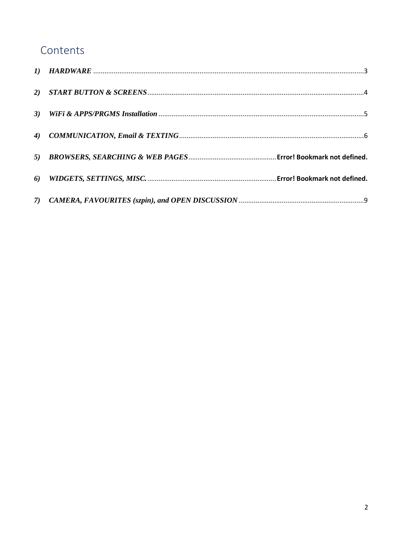## Contents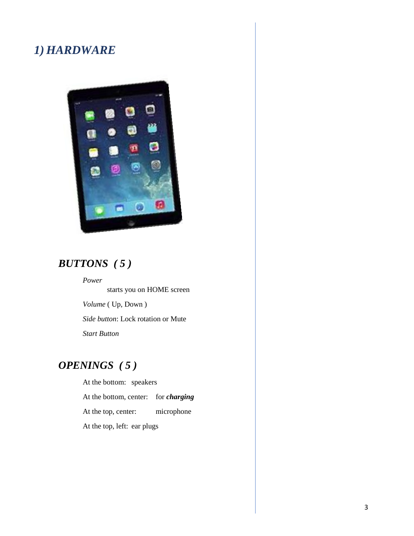#### <span id="page-2-0"></span>*1) HARDWARE*



## *BUTTONS ( 5 )*

*Power* starts you on HOME screen *Volume* ( Up, Down ) *Side button*: Lock rotation or Mute *Start Button*

## *OPENINGS ( 5 )*

At the bottom: speakers At the bottom, center: for *charging* At the top, center: microphone At the top, left: ear plugs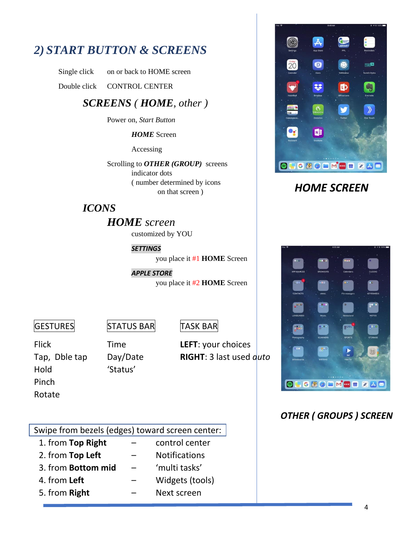## <span id="page-3-0"></span>*2) START BUTTON & SCREENS*

Single click on or back to HOME screen

Double click CONTROL CENTER

#### *SCREENS ( HOME, other )*

Power on, *Start Button*

*HOME* Screen

Accessing

Scrolling to *OTHER (GROUP)* screens indicator dots ( number determined by icons on that screen )

#### *ICONS*

#### *HOME screen*

customized by YOU

*SETTINGS*

you place it #1 **HOME** Screen

*APPLE STORE* you place it #2 **HOME** Screen

 $|G$ ESTURES STATUS BAR TASK BAR

Rotate

Hold 'Status' Pinch

Flick Time **LEFT**: your choices Tap, Dble tap Day/Date **RIGHT**: 3 last used *auto*

#### Swipe from bezels (edges) toward screen center:

- 1. from **Top Right** control center
- 2. from **Top Left** Notifications
- 3. from **Bottom mid** 'multi tasks'
- 4. from **Left** Widgets (tools)
- 5. from **Right** Next screen



### *HOME SCREEN*



#### *OTHER ( GROUPS ) SCREEN*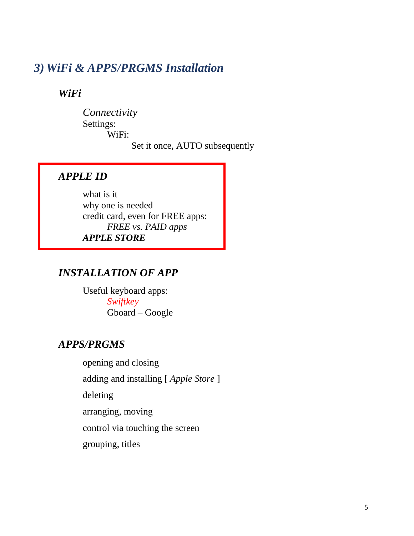### <span id="page-4-0"></span>*3) WiFi & APPS/PRGMS Installation*

*WiFi* 

*Connectivity* Settings: WiFi: Set it once, AUTO subsequently

#### *APPLE ID*

what is it why one is needed credit card, even for FREE apps: *FREE vs. PAID apps APPLE STORE*

#### *INSTALLATION OF APP*

Useful keyboard apps: *Swiftkey* Gboard – Google

#### *APPS/PRGMS*

opening and closing

adding and installing [ *Apple Store* ]

deleting

arranging, moving

control via touching the screen

grouping, titles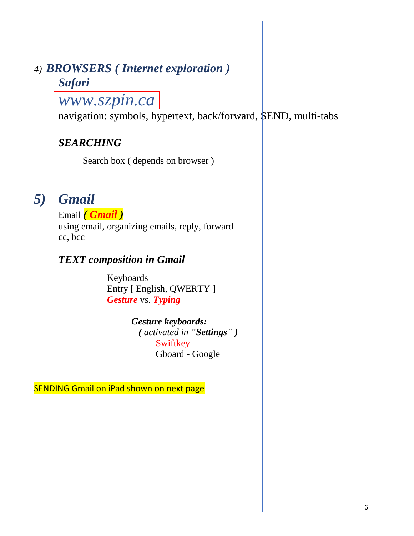## <span id="page-5-0"></span>*4) BROWSERS ( Internet exploration ) Safari*

## *www.szpin.ca*

navigation: symbols, hypertext, back/forward, SEND, multi-tabs

## *SEARCHING*

Search box ( depends on browser )

## *5) Gmail*

Email *( Gmail )* using email, organizing emails, reply, forward cc, bcc

### *TEXT composition in Gmail*

Keyboards Entry [ English, QWERTY ] *Gesture* vs. *Typing*

#### *Gesture keyboards: ( activated in "Settings" )*

**Swiftkey** Gboard - Google

SENDING Gmail on iPad shown on next page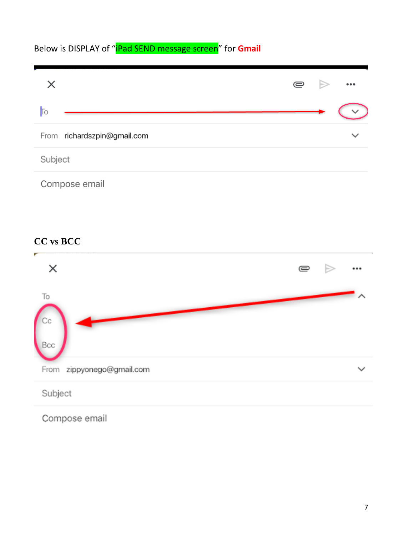## Below is DISPLAY of "iPad SEND message screen" for **Gmail**



#### **CC vs BCC**



Compose email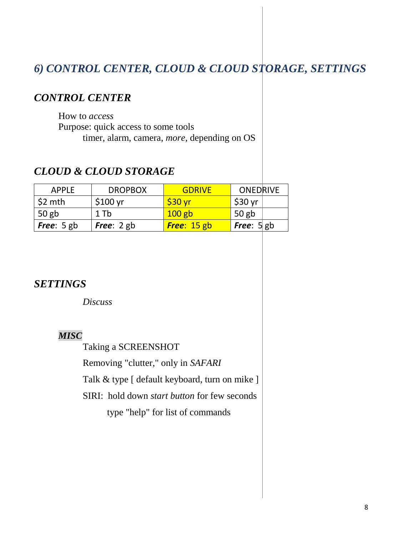## *6) CONTROL CENTER, CLOUD & CLOUD STORAGE, SETTINGS*

#### *CONTROL CENTER*

How to *access* Purpose: quick access to some tools timer, alarm, camera, *more,* depending on OS

#### *CLOUD & CLOUD STORAGE*

| APPLE             | <b>DROPBOX</b> | GDRIVE             | <b>ONEDRIVE</b>     |
|-------------------|----------------|--------------------|---------------------|
| $\frac{1}{2}$ mth | \$100 yr       | \$30 <sub>vr</sub> | $$30$ yr            |
| $\vert$ 50 gb     | $1$ Tb         | $100$ gb           | $50$ gb             |
| $ $ Free: 5 gb    | Free: $2$ gb   | <b>Free: 15 gb</b> | <b>Free:</b> $5$ gb |

#### *SETTINGS*

*Discuss*

#### *MISC*

Taking a SCREENSHOT

Removing "clutter," only in *SAFARI*

Talk & type [ default keyboard, turn on mike ]

SIRI: hold down *start button* for few seconds

type "help" for list of commands